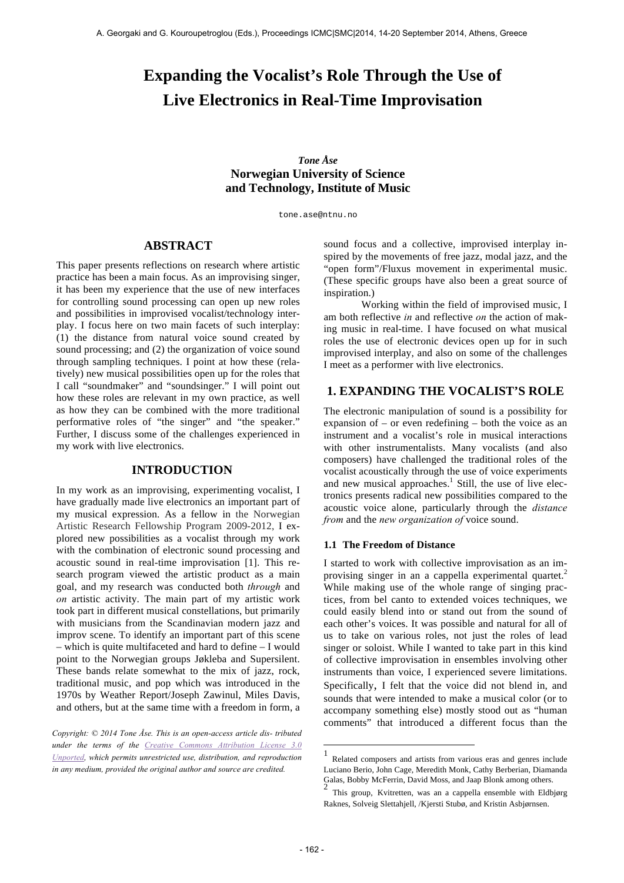# **Expanding the Vocalist's Role Through the Use of Live Electronics in Real-Time Improvisation**

*Tone Åse* **Norwegian University of Science and Technology, Institute of Music**

tone.ase@ntnu.no

# **ABSTRACT**

This paper presents reflections on research where artistic practice has been a main focus. As an improvising singer, it has been my experience that the use of new interfaces for controlling sound processing can open up new roles and possibilities in improvised vocalist/technology interplay. I focus here on two main facets of such interplay: (1) the distance from natural voice sound created by sound processing; and (2) the organization of voice sound through sampling techniques. I point at how these (relatively) new musical possibilities open up for the roles that I call "soundmaker" and "soundsinger." I will point out how these roles are relevant in my own practice, as well as how they can be combined with the more traditional performative roles of "the singer" and "the speaker." Further, I discuss some of the challenges experienced in my work with live electronics.

## **INTRODUCTION**

In my work as an improvising, experimenting vocalist, I have gradually made live electronics an important part of my musical expression. As a fellow in the Norwegian Artistic Research Fellowship Program 2009-2012, I explored new possibilities as a vocalist through my work with the combination of electronic sound processing and acoustic sound in real-time improvisation [1]. This research program viewed the artistic product as a main goal, and my research was conducted both *through* and *on* artistic activity. The main part of my artistic work took part in different musical constellations, but primarily with musicians from the Scandinavian modern jazz and improv scene. To identify an important part of this scene – which is quite multifaceted and hard to define – I would point to the Norwegian groups Jøkleba and Supersilent. These bands relate somewhat to the mix of jazz, rock, traditional music, and pop which was introduced in the 1970s by Weather Report/Joseph Zawinul, Miles Davis, and others, but at the same time with a freedom in form, a

*Copyright: © 2014 Tone Åse. This is an open-access article dis- tributed under the terms of the Creative Commons Attribution License 3.0 Unported, which permits unrestricted use, distribution, and reproduction in any medium, provided the original author and source are credited.*

sound focus and a collective, improvised interplay inspired by the movements of free jazz, modal jazz, and the "open form"/Fluxus movement in experimental music. (These specific groups have also been a great source of inspiration.)

Working within the field of improvised music, I am both reflective *in* and reflective *on* the action of making music in real-time. I have focused on what musical roles the use of electronic devices open up for in such improvised interplay, and also on some of the challenges I meet as a performer with live electronics.

## **1. EXPANDING THE VOCALIST'S ROLE**

The electronic manipulation of sound is a possibility for expansion of – or even redefining – both the voice as an instrument and a vocalist's role in musical interactions with other instrumentalists. Many vocalists (and also composers) have challenged the traditional roles of the vocalist acoustically through the use of voice experiments and new musical approaches.<sup>1</sup> Still, the use of live electronics presents radical new possibilities compared to the acoustic voice alone, particularly through the *distance from* and the *new organization of* voice sound.

## **1.1 The Freedom of Distance**

I started to work with collective improvisation as an improvising singer in an a cappella experimental quartet.<sup>2</sup> While making use of the whole range of singing practices, from bel canto to extended voices techniques, we could easily blend into or stand out from the sound of each other's voices. It was possible and natural for all of us to take on various roles, not just the roles of lead singer or soloist. While I wanted to take part in this kind of collective improvisation in ensembles involving other instruments than voice, I experienced severe limitations. Specifically, I felt that the voice did not blend in, and sounds that were intended to make a musical color (or to accompany something else) mostly stood out as "human comments" that introduced a different focus than the

<u>.</u>

<sup>1</sup> Related composers and artists from various eras and genres include Luciano Berio, John Cage, Meredith Monk, Cathy Berberian, Diamanda Galas, Bobby McFerrin, David Moss, and Jaap Blonk among others.

<sup>2</sup> This group, Kvitretten, was an a cappella ensemble with Eldbjørg Raknes, Solveig Slettahjell, /Kjersti Stubø, and Kristin Asbjørnsen.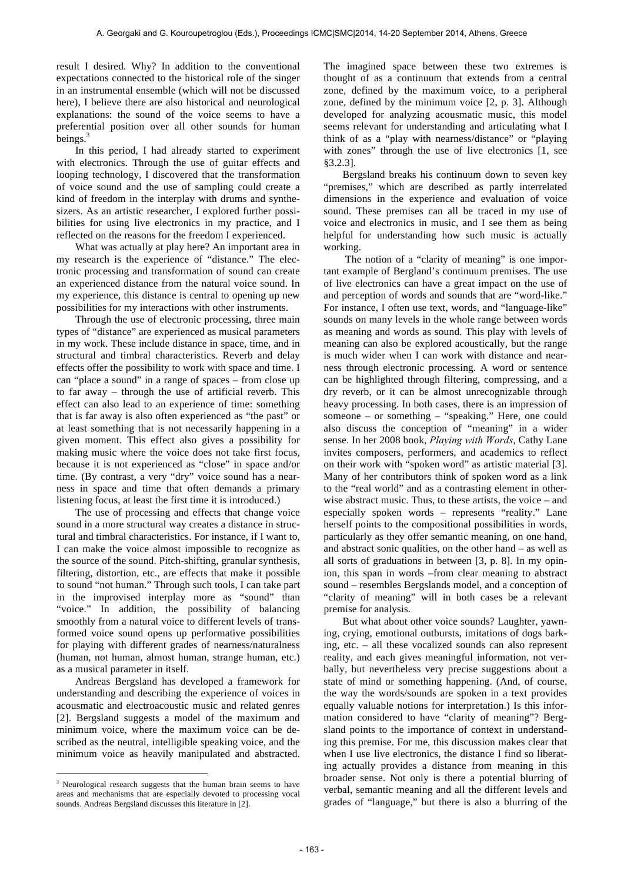result I desired. Why? In addition to the conventional expectations connected to the historical role of the singer in an instrumental ensemble (which will not be discussed here), I believe there are also historical and neurological explanations: the sound of the voice seems to have a preferential position over all other sounds for human beings.<sup>3</sup>

In this period, I had already started to experiment with electronics. Through the use of guitar effects and looping technology, I discovered that the transformation of voice sound and the use of sampling could create a kind of freedom in the interplay with drums and synthesizers. As an artistic researcher, I explored further possibilities for using live electronics in my practice, and I reflected on the reasons for the freedom I experienced.

What was actually at play here? An important area in my research is the experience of "distance." The electronic processing and transformation of sound can create an experienced distance from the natural voice sound. In my experience, this distance is central to opening up new possibilities for my interactions with other instruments.

Through the use of electronic processing, three main types of "distance" are experienced as musical parameters in my work. These include distance in space, time, and in structural and timbral characteristics. Reverb and delay effects offer the possibility to work with space and time. I can "place a sound" in a range of spaces – from close up to far away – through the use of artificial reverb. This effect can also lead to an experience of time: something that is far away is also often experienced as "the past" or at least something that is not necessarily happening in a given moment. This effect also gives a possibility for making music where the voice does not take first focus, because it is not experienced as "close" in space and/or time. (By contrast, a very "dry" voice sound has a nearness in space and time that often demands a primary listening focus, at least the first time it is introduced.)

The use of processing and effects that change voice sound in a more structural way creates a distance in structural and timbral characteristics. For instance, if I want to, I can make the voice almost impossible to recognize as the source of the sound. Pitch-shifting, granular synthesis, filtering, distortion, etc., are effects that make it possible to sound "not human." Through such tools, I can take part in the improvised interplay more as "sound" than "voice." In addition, the possibility of balancing smoothly from a natural voice to different levels of transformed voice sound opens up performative possibilities for playing with different grades of nearness/naturalness (human, not human, almost human, strange human, etc.) as a musical parameter in itself.

Andreas Bergsland has developed a framework for understanding and describing the experience of voices in acousmatic and electroacoustic music and related genres [2]. Bergsland suggests a model of the maximum and minimum voice, where the maximum voice can be described as the neutral, intelligible speaking voice, and the minimum voice as heavily manipulated and abstracted.

 $\overline{a}$ 

The imagined space between these two extremes is thought of as a continuum that extends from a central zone, defined by the maximum voice, to a peripheral zone, defined by the minimum voice [2, p. 3]. Although developed for analyzing acousmatic music, this model seems relevant for understanding and articulating what I think of as a "play with nearness/distance" or "playing with zones" through the use of live electronics [1, see §3.2.3].

Bergsland breaks his continuum down to seven key "premises," which are described as partly interrelated dimensions in the experience and evaluation of voice sound. These premises can all be traced in my use of voice and electronics in music, and I see them as being helpful for understanding how such music is actually working.

 The notion of a "clarity of meaning" is one important example of Bergland's continuum premises. The use of live electronics can have a great impact on the use of and perception of words and sounds that are "word-like." For instance, I often use text, words, and "language-like" sounds on many levels in the whole range between words as meaning and words as sound. This play with levels of meaning can also be explored acoustically, but the range is much wider when I can work with distance and nearness through electronic processing. A word or sentence can be highlighted through filtering, compressing, and a dry reverb, or it can be almost unrecognizable through heavy processing. In both cases, there is an impression of someone – or something – "speaking." Here, one could also discuss the conception of "meaning" in a wider sense. In her 2008 book, *Playing with Words*, Cathy Lane invites composers, performers, and academics to reflect on their work with "spoken word" as artistic material [3]. Many of her contributors think of spoken word as a link to the "real world" and as a contrasting element in otherwise abstract music. Thus, to these artists, the voice – and especially spoken words – represents "reality." Lane herself points to the compositional possibilities in words, particularly as they offer semantic meaning, on one hand, and abstract sonic qualities, on the other hand – as well as all sorts of graduations in between [3, p. 8]. In my opinion, this span in words –from clear meaning to abstract sound – resembles Bergslands model, and a conception of "clarity of meaning" will in both cases be a relevant premise for analysis.

But what about other voice sounds? Laughter, yawning, crying, emotional outbursts, imitations of dogs barking, etc. – all these vocalized sounds can also represent reality, and each gives meaningful information, not verbally, but nevertheless very precise suggestions about a state of mind or something happening. (And, of course, the way the words/sounds are spoken in a text provides equally valuable notions for interpretation.) Is this information considered to have "clarity of meaning"? Bergsland points to the importance of context in understanding this premise. For me, this discussion makes clear that when I use live electronics, the distance I find so liberating actually provides a distance from meaning in this broader sense. Not only is there a potential blurring of verbal, semantic meaning and all the different levels and grades of "language," but there is also a blurring of the

<sup>&</sup>lt;sup>3</sup> Neurological research suggests that the human brain seems to have areas and mechanisms that are especially devoted to processing vocal sounds. Andreas Bergsland discusses this literature in [2].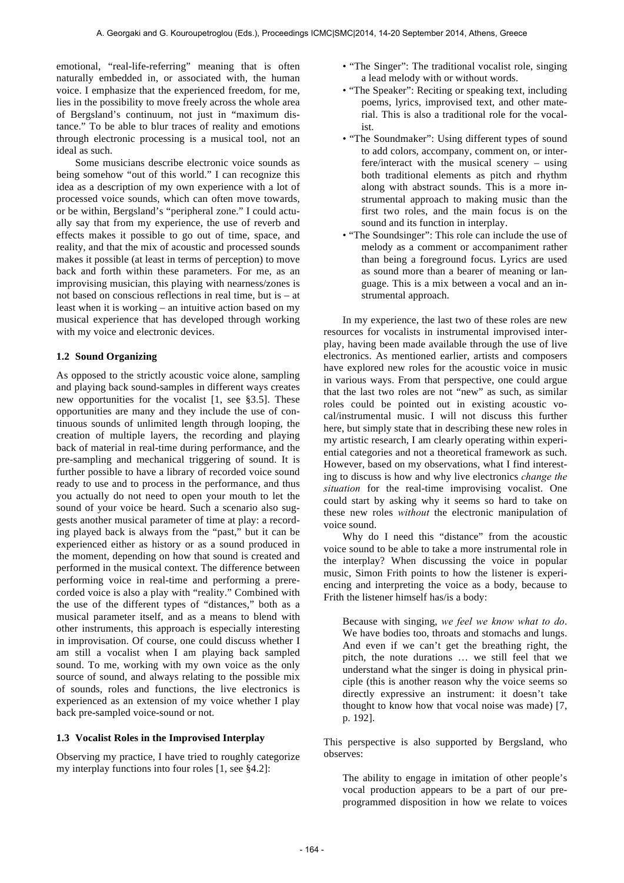emotional, "real-life-referring" meaning that is often naturally embedded in, or associated with, the human voice. I emphasize that the experienced freedom, for me, lies in the possibility to move freely across the whole area of Bergsland's continuum, not just in "maximum distance." To be able to blur traces of reality and emotions through electronic processing is a musical tool, not an ideal as such.

Some musicians describe electronic voice sounds as being somehow "out of this world." I can recognize this idea as a description of my own experience with a lot of processed voice sounds, which can often move towards, or be within, Bergsland's "peripheral zone." I could actually say that from my experience, the use of reverb and effects makes it possible to go out of time, space, and reality, and that the mix of acoustic and processed sounds makes it possible (at least in terms of perception) to move back and forth within these parameters. For me, as an improvising musician, this playing with nearness/zones is not based on conscious reflections in real time, but is – at least when it is working – an intuitive action based on my musical experience that has developed through working with my voice and electronic devices.

### **1.2 Sound Organizing**

As opposed to the strictly acoustic voice alone, sampling and playing back sound-samples in different ways creates new opportunities for the vocalist [1, see §3.5]. These opportunities are many and they include the use of continuous sounds of unlimited length through looping, the creation of multiple layers, the recording and playing back of material in real-time during performance, and the pre-sampling and mechanical triggering of sound. It is further possible to have a library of recorded voice sound ready to use and to process in the performance, and thus you actually do not need to open your mouth to let the sound of your voice be heard. Such a scenario also suggests another musical parameter of time at play: a recording played back is always from the "past," but it can be experienced either as history or as a sound produced in the moment, depending on how that sound is created and performed in the musical context. The difference between performing voice in real-time and performing a prerecorded voice is also a play with "reality." Combined with the use of the different types of "distances," both as a musical parameter itself, and as a means to blend with other instruments, this approach is especially interesting in improvisation. Of course, one could discuss whether I am still a vocalist when I am playing back sampled sound. To me, working with my own voice as the only source of sound, and always relating to the possible mix of sounds, roles and functions, the live electronics is experienced as an extension of my voice whether I play back pre-sampled voice-sound or not.

#### **1.3 Vocalist Roles in the Improvised Interplay**

Observing my practice, I have tried to roughly categorize my interplay functions into four roles [1, see §4.2]:

- "The Singer": The traditional vocalist role, singing a lead melody with or without words.
- "The Speaker": Reciting or speaking text, including poems, lyrics, improvised text, and other material. This is also a traditional role for the vocalist.
- "The Soundmaker": Using different types of sound to add colors, accompany, comment on, or interfere/interact with the musical scenery – using both traditional elements as pitch and rhythm along with abstract sounds. This is a more instrumental approach to making music than the first two roles, and the main focus is on the sound and its function in interplay.
- "The Soundsinger": This role can include the use of melody as a comment or accompaniment rather than being a foreground focus. Lyrics are used as sound more than a bearer of meaning or language. This is a mix between a vocal and an instrumental approach.

In my experience, the last two of these roles are new resources for vocalists in instrumental improvised interplay, having been made available through the use of live electronics. As mentioned earlier, artists and composers have explored new roles for the acoustic voice in music in various ways. From that perspective, one could argue that the last two roles are not "new" as such, as similar roles could be pointed out in existing acoustic vocal/instrumental music. I will not discuss this further here, but simply state that in describing these new roles in my artistic research, I am clearly operating within experiential categories and not a theoretical framework as such. However, based on my observations, what I find interesting to discuss is how and why live electronics *change the situation* for the real-time improvising vocalist. One could start by asking why it seems so hard to take on these new roles *without* the electronic manipulation of voice sound.

Why do I need this "distance" from the acoustic voice sound to be able to take a more instrumental role in the interplay? When discussing the voice in popular music, Simon Frith points to how the listener is experiencing and interpreting the voice as a body, because to Frith the listener himself has/is a body:

Because with singing, *we feel we know what to do*. We have bodies too, throats and stomachs and lungs. And even if we can't get the breathing right, the pitch, the note durations … we still feel that we understand what the singer is doing in physical principle (this is another reason why the voice seems so directly expressive an instrument: it doesn't take thought to know how that vocal noise was made) [7, p. 192].

This perspective is also supported by Bergsland, who observes:

The ability to engage in imitation of other people's vocal production appears to be a part of our preprogrammed disposition in how we relate to voices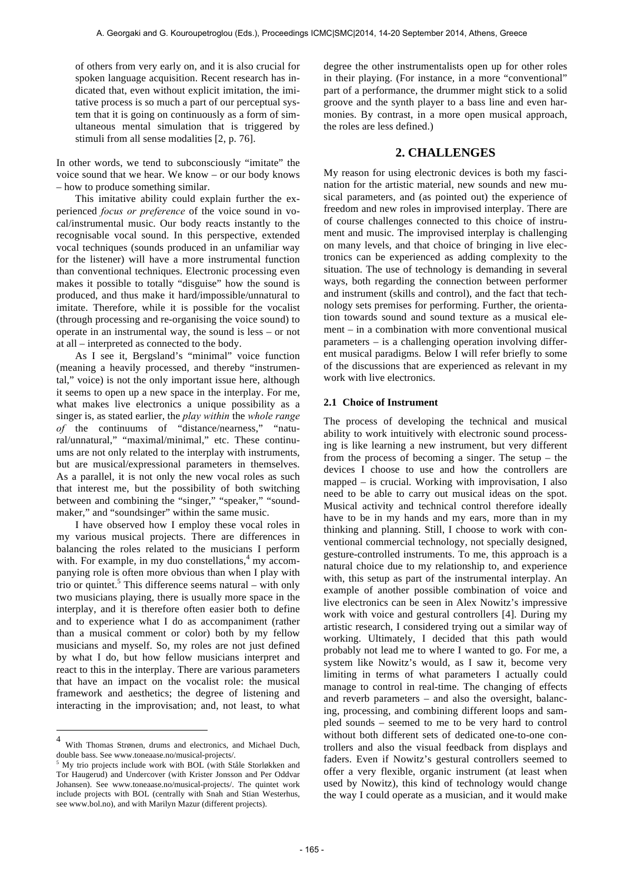of others from very early on, and it is also crucial for spoken language acquisition. Recent research has indicated that, even without explicit imitation, the imitative process is so much a part of our perceptual system that it is going on continuously as a form of simultaneous mental simulation that is triggered by stimuli from all sense modalities [2, p. 76].

In other words, we tend to subconsciously "imitate" the voice sound that we hear. We know – or our body knows – how to produce something similar.

This imitative ability could explain further the experienced *focus or preference* of the voice sound in vocal/instrumental music. Our body reacts instantly to the recognisable vocal sound. In this perspective, extended vocal techniques (sounds produced in an unfamiliar way for the listener) will have a more instrumental function than conventional techniques. Electronic processing even makes it possible to totally "disguise" how the sound is produced, and thus make it hard/impossible/unnatural to imitate. Therefore, while it is possible for the vocalist (through processing and re-organising the voice sound) to operate in an instrumental way, the sound is less – or not at all – interpreted as connected to the body.

As I see it, Bergsland's "minimal" voice function (meaning a heavily processed, and thereby "instrumental," voice) is not the only important issue here, although it seems to open up a new space in the interplay. For me, what makes live electronics a unique possibility as a singer is, as stated earlier, the *play within* the *whole range of* the continuums of "distance/nearness," "natural/unnatural," "maximal/minimal," etc. These continuums are not only related to the interplay with instruments, but are musical/expressional parameters in themselves. As a parallel, it is not only the new vocal roles as such that interest me, but the possibility of both switching between and combining the "singer," "speaker," "soundmaker," and "soundsinger" within the same music.

I have observed how I employ these vocal roles in my various musical projects. There are differences in balancing the roles related to the musicians I perform with. For example, in my duo constellations,<sup>4</sup> my accompanying role is often more obvious than when I play with trio or quintet.<sup>5</sup> This difference seems natural – with only two musicians playing, there is usually more space in the interplay, and it is therefore often easier both to define and to experience what I do as accompaniment (rather than a musical comment or color) both by my fellow musicians and myself. So, my roles are not just defined by what I do, but how fellow musicians interpret and react to this in the interplay. There are various parameters that have an impact on the vocalist role: the musical framework and aesthetics; the degree of listening and interacting in the improvisation; and, not least, to what

 $\overline{a}$ 

degree the other instrumentalists open up for other roles in their playing. (For instance, in a more "conventional" part of a performance, the drummer might stick to a solid groove and the synth player to a bass line and even harmonies. By contrast, in a more open musical approach, the roles are less defined.)

# **2. CHALLENGES**

My reason for using electronic devices is both my fascination for the artistic material, new sounds and new musical parameters, and (as pointed out) the experience of freedom and new roles in improvised interplay. There are of course challenges connected to this choice of instrument and music. The improvised interplay is challenging on many levels, and that choice of bringing in live electronics can be experienced as adding complexity to the situation. The use of technology is demanding in several ways, both regarding the connection between performer and instrument (skills and control), and the fact that technology sets premises for performing. Further, the orientation towards sound and sound texture as a musical element – in a combination with more conventional musical parameters – is a challenging operation involving different musical paradigms. Below I will refer briefly to some of the discussions that are experienced as relevant in my work with live electronics.

## **2.1 Choice of Instrument**

The process of developing the technical and musical ability to work intuitively with electronic sound processing is like learning a new instrument, but very different from the process of becoming a singer. The setup – the devices I choose to use and how the controllers are mapped – is crucial. Working with improvisation, I also need to be able to carry out musical ideas on the spot. Musical activity and technical control therefore ideally have to be in my hands and my ears, more than in my thinking and planning. Still, I choose to work with conventional commercial technology, not specially designed, gesture-controlled instruments. To me, this approach is a natural choice due to my relationship to, and experience with, this setup as part of the instrumental interplay. An example of another possible combination of voice and live electronics can be seen in Alex Nowitz's impressive work with voice and gestural controllers [4]. During my artistic research, I considered trying out a similar way of working. Ultimately, I decided that this path would probably not lead me to where I wanted to go. For me, a system like Nowitz's would, as I saw it, become very limiting in terms of what parameters I actually could manage to control in real-time. The changing of effects and reverb parameters – and also the oversight, balancing, processing, and combining different loops and sampled sounds – seemed to me to be very hard to control without both different sets of dedicated one-to-one controllers and also the visual feedback from displays and faders. Even if Nowitz's gestural controllers seemed to offer a very flexible, organic instrument (at least when used by Nowitz), this kind of technology would change the way I could operate as a musician, and it would make

<sup>4</sup> With Thomas Strønen, drums and electronics, and Michael Duch, double bass. See www.toneaase.no/musical-projects/.

<sup>5</sup> My trio projects include work with BOL (with Ståle Storløkken and Tor Haugerud) and Undercover (with Krister Jonsson and Per Oddvar Johansen). See www.toneaase.no/musical-projects/. The quintet work include projects with BOL (centrally with Snah and Stian Westerhus, see www.bol.no), and with Marilyn Mazur (different projects).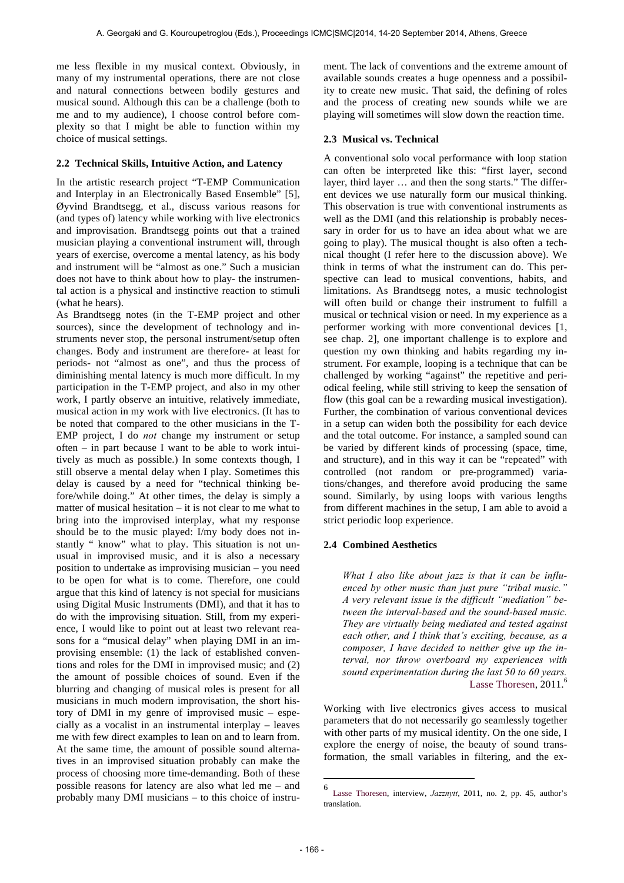me less flexible in my musical context. Obviously, in many of my instrumental operations, there are not close and natural connections between bodily gestures and musical sound. Although this can be a challenge (both to me and to my audience), I choose control before complexity so that I might be able to function within my choice of musical settings.

#### **2.2 Technical Skills, Intuitive Action, and Latency**

In the artistic research project "T-EMP Communication and Interplay in an Electronically Based Ensemble" [5], Øyvind Brandtsegg, et al., discuss various reasons for (and types of) latency while working with live electronics and improvisation. Brandtsegg points out that a trained musician playing a conventional instrument will, through years of exercise, overcome a mental latency, as his body and instrument will be "almost as one." Such a musician does not have to think about how to play- the instrumental action is a physical and instinctive reaction to stimuli (what he hears).

As Brandtsegg notes (in the T-EMP project and other sources), since the development of technology and instruments never stop, the personal instrument/setup often changes. Body and instrument are therefore- at least for periods- not "almost as one", and thus the process of diminishing mental latency is much more difficult. In my participation in the T-EMP project, and also in my other work, I partly observe an intuitive, relatively immediate, musical action in my work with live electronics. (It has to be noted that compared to the other musicians in the T-EMP project, I do *not* change my instrument or setup often – in part because I want to be able to work intuitively as much as possible.) In some contexts though, I still observe a mental delay when I play. Sometimes this delay is caused by a need for "technical thinking before/while doing." At other times, the delay is simply a matter of musical hesitation – it is not clear to me what to bring into the improvised interplay, what my response should be to the music played: I/my body does not instantly " know" what to play. This situation is not unusual in improvised music, and it is also a necessary position to undertake as improvising musician – you need to be open for what is to come. Therefore, one could argue that this kind of latency is not special for musicians using Digital Music Instruments (DMI), and that it has to do with the improvising situation. Still, from my experience, I would like to point out at least two relevant reasons for a "musical delay" when playing DMI in an improvising ensemble: (1) the lack of established conventions and roles for the DMI in improvised music; and (2) the amount of possible choices of sound. Even if the blurring and changing of musical roles is present for all musicians in much modern improvisation, the short history of DMI in my genre of improvised music – especially as a vocalist in an instrumental interplay – leaves me with few direct examples to lean on and to learn from. At the same time, the amount of possible sound alternatives in an improvised situation probably can make the process of choosing more time-demanding. Both of these possible reasons for latency are also what led me – and probably many DMI musicians – to this choice of instrument. The lack of conventions and the extreme amount of available sounds creates a huge openness and a possibility to create new music. That said, the defining of roles and the process of creating new sounds while we are playing will sometimes will slow down the reaction time.

#### **2.3 Musical vs. Technical**

A conventional solo vocal performance with loop station can often be interpreted like this: "first layer, second layer, third layer … and then the song starts." The different devices we use naturally form our musical thinking. This observation is true with conventional instruments as well as the DMI (and this relationship is probably necessary in order for us to have an idea about what we are going to play). The musical thought is also often a technical thought (I refer here to the discussion above). We think in terms of what the instrument can do. This perspective can lead to musical conventions, habits, and limitations. As Brandtsegg notes, a music technologist will often build or change their instrument to fulfill a musical or technical vision or need. In my experience as a performer working with more conventional devices [1, see chap. 2], one important challenge is to explore and question my own thinking and habits regarding my instrument. For example, looping is a technique that can be challenged by working "against" the repetitive and periodical feeling, while still striving to keep the sensation of flow (this goal can be a rewarding musical investigation). Further, the combination of various conventional devices in a setup can widen both the possibility for each device and the total outcome. For instance, a sampled sound can be varied by different kinds of processing (space, time, and structure), and in this way it can be "repeated" with controlled (not random or pre-programmed) variations/changes, and therefore avoid producing the same sound. Similarly, by using loops with various lengths from different machines in the setup, I am able to avoid a strict periodic loop experience.

## **2.4 Combined Aesthetics**

*What I also like about jazz is that it can be influenced by other music than just pure "tribal music." A very relevant issue is the difficult "mediation" between the interval-based and the sound-based music. They are virtually being mediated and tested against each other, and I think that's exciting, because, as a composer, I have decided to neither give up the interval, nor throw overboard my experiences with sound experimentation during the last 50 to 60 years.* Lasse Thoresen, 2011.<sup>6</sup>

Working with live electronics gives access to musical parameters that do not necessarily go seamlessly together with other parts of my musical identity. On the one side, I explore the energy of noise, the beauty of sound transformation, the small variables in filtering, and the ex-

1

<sup>6</sup> Lasse Thoresen, interview, *Jazznytt*, 2011, no. 2, pp. 45, author's translation.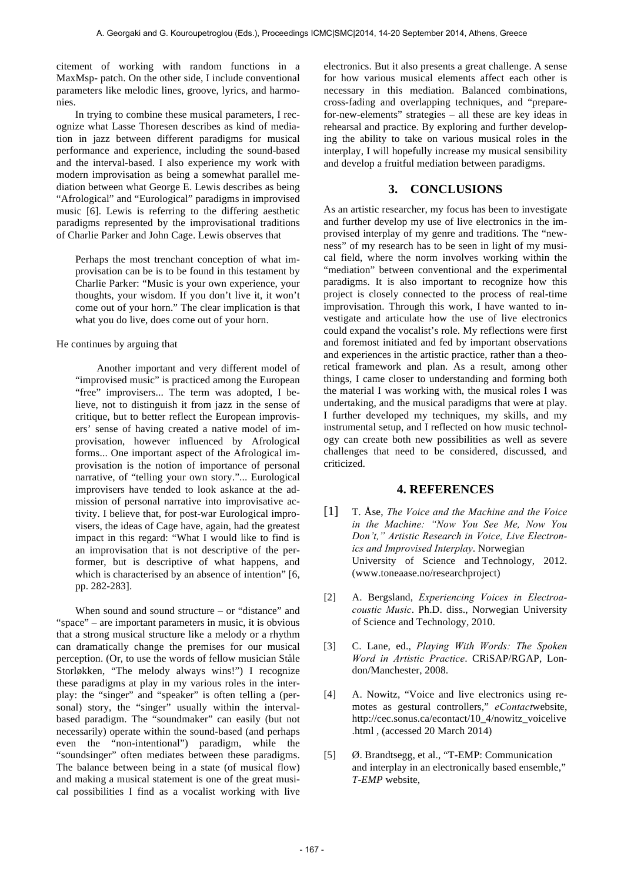citement of working with random functions in a MaxMsp- patch. On the other side, I include conventional parameters like melodic lines, groove, lyrics, and harmonies.

In trying to combine these musical parameters, I recognize what Lasse Thoresen describes as kind of mediation in jazz between different paradigms for musical performance and experience, including the sound-based and the interval-based. I also experience my work with modern improvisation as being a somewhat parallel mediation between what George E. Lewis describes as being "Afrological" and "Eurological" paradigms in improvised music [6]. Lewis is referring to the differing aesthetic paradigms represented by the improvisational traditions of Charlie Parker and John Cage. Lewis observes that

Perhaps the most trenchant conception of what improvisation can be is to be found in this testament by Charlie Parker: "Music is your own experience, your thoughts, your wisdom. If you don't live it, it won't come out of your horn." The clear implication is that what you do live, does come out of your horn.

### He continues by arguing that

Another important and very different model of "improvised music" is practiced among the European "free" improvisers... The term was adopted, I believe, not to distinguish it from jazz in the sense of critique, but to better reflect the European improvisers' sense of having created a native model of improvisation, however influenced by Afrological forms... One important aspect of the Afrological improvisation is the notion of importance of personal narrative, of "telling your own story."... Eurological improvisers have tended to look askance at the admission of personal narrative into improvisative activity. I believe that, for post-war Eurological improvisers, the ideas of Cage have, again, had the greatest impact in this regard: "What I would like to find is an improvisation that is not descriptive of the performer, but is descriptive of what happens, and which is characterised by an absence of intention" [6, pp. 282-283].

When sound and sound structure – or "distance" and "space" – are important parameters in music, it is obvious that a strong musical structure like a melody or a rhythm can dramatically change the premises for our musical perception. (Or, to use the words of fellow musician Ståle Storløkken, "The melody always wins!") I recognize these paradigms at play in my various roles in the interplay: the "singer" and "speaker" is often telling a (personal) story, the "singer" usually within the intervalbased paradigm. The "soundmaker" can easily (but not necessarily) operate within the sound-based (and perhaps even the "non-intentional") paradigm, while the "soundsinger" often mediates between these paradigms. The balance between being in a state (of musical flow) and making a musical statement is one of the great musical possibilities I find as a vocalist working with live

electronics. But it also presents a great challenge. A sense for how various musical elements affect each other is necessary in this mediation. Balanced combinations, cross-fading and overlapping techniques, and "preparefor-new-elements" strategies – all these are key ideas in rehearsal and practice. By exploring and further developing the ability to take on various musical roles in the interplay, I will hopefully increase my musical sensibility and develop a fruitful mediation between paradigms.

# **3. CONCLUSIONS**

As an artistic researcher, my focus has been to investigate and further develop my use of live electronics in the improvised interplay of my genre and traditions. The "newness" of my research has to be seen in light of my musical field, where the norm involves working within the "mediation" between conventional and the experimental paradigms. It is also important to recognize how this project is closely connected to the process of real-time improvisation. Through this work, I have wanted to investigate and articulate how the use of live electronics could expand the vocalist's role. My reflections were first and foremost initiated and fed by important observations and experiences in the artistic practice, rather than a theoretical framework and plan. As a result, among other things, I came closer to understanding and forming both the material I was working with, the musical roles I was undertaking, and the musical paradigms that were at play. I further developed my techniques, my skills, and my instrumental setup, and I reflected on how music technology can create both new possibilities as well as severe challenges that need to be considered, discussed, and criticized.

## **4. REFERENCES**

- [1] T. Åse, *The Voice and the Machine and the Voice in the Machine: "Now You See Me, Now You Don't," Artistic Research in Voice, Live Electronics and Improvised Interplay*. Norwegian University of Science and Technology, 2012. (www.toneaase.no/researchproject)
- [2] A. Bergsland, *Experiencing Voices in Electroacoustic Music*. Ph.D. diss., Norwegian University of Science and Technology, 2010.
- [3] C. Lane, ed., *Playing With Words: The Spoken Word in Artistic Practice*. CRiSAP/RGAP, London/Manchester, 2008.
- [4] A. Nowitz, "Voice and live electronics using remotes as gestural controllers," *eContact*website, http://cec.sonus.ca/econtact/10\_4/nowitz\_voicelive .html , (accessed 20 March 2014)
- [5] Ø. Brandtsegg, et al., "T-EMP: Communication and interplay in an electronically based ensemble," *T-EMP* website,